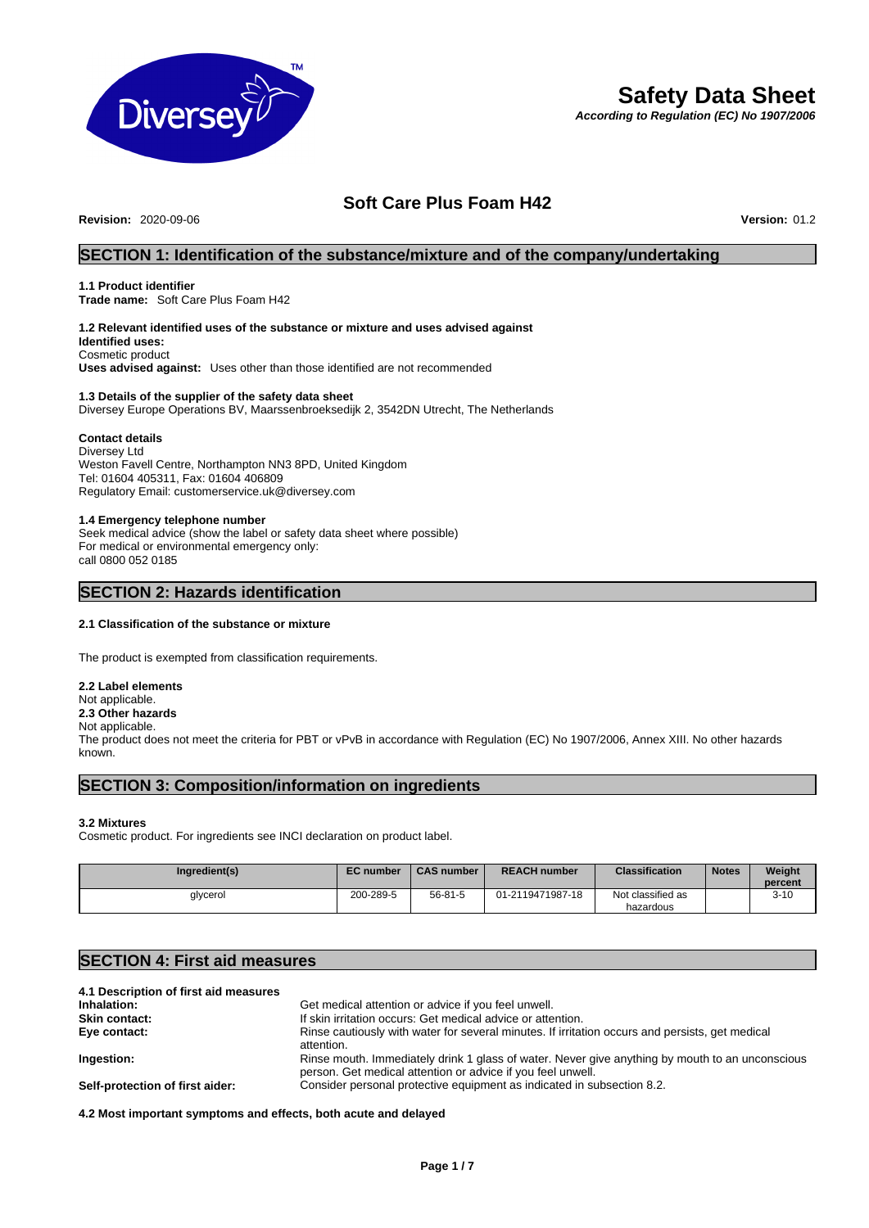

# **Safety Data Sheet**

*According to Regulation (EC) No 1907/2006* 

## **Soft Care Plus Foam H42**

**Revision:** 2020-09-06 **Version:** 01.2

## **SECTION 1: Identification of the substance/mixture and of the company/undertaking**

#### **1.1 Product identifier**

**Trade name:** Soft Care Plus Foam H42

#### **1.2 Relevant identified uses of the substance or mixture and uses advised against Identified uses:**

Cosmetic product **Uses advised against:** Uses other than those identified are not recommended

#### **1.3 Details of the supplier of the safety data sheet**  Diversey Europe Operations BV, Maarssenbroeksedijk 2, 3542DN Utrecht, The Netherlands

## **Contact details**

Diversey Ltd Weston Favell Centre, Northampton NN3 8PD, United Kingdom Tel: 01604 405311, Fax: 01604 406809 Regulatory Email: customerservice.uk@diversey.com

### **1.4 Emergency telephone number**

Seek medical advice (show the label or safety data sheet where possible) For medical or environmental emergency only: call 0800 052 0185

## **SECTION 2: Hazards identification**

## **2.1 Classification of the substance or mixture**

The product is exempted from classification requirements.

**2.2 Label elements**  Not applicable. **2.3 Other hazards**  Not applicable. The product does not meet the criteria for PBT or vPvB in accordance with Regulation (EC) No 1907/2006, Annex XIII. No other hazards known.

## **SECTION 3: Composition/information on ingredients**

### **3.2 Mixtures**

Cosmetic product. For ingredients see INCI declaration on product label.

| Ingredient(s) | <b>EC</b> number | <b>CAS number</b> | <b>REACH number</b> | <b>Classification</b>          | <b>Notes</b> | Weight<br>percent |
|---------------|------------------|-------------------|---------------------|--------------------------------|--------------|-------------------|
| glycerol      | 200-289-5        | 56-81-5           | 01-2119471987-18    | Not classified as<br>hazardous |              | $3-10$            |

## **SECTION 4: First aid measures**

| 4.1 Description of first aid measures |                                                                                                                                                                |
|---------------------------------------|----------------------------------------------------------------------------------------------------------------------------------------------------------------|
| Inhalation:                           | Get medical attention or advice if you feel unwell.                                                                                                            |
| <b>Skin contact:</b>                  | If skin irritation occurs: Get medical advice or attention.                                                                                                    |
| Eye contact:                          | Rinse cautiously with water for several minutes. If irritation occurs and persists, get medical<br>attention.                                                  |
| Ingestion:                            | Rinse mouth. Immediately drink 1 glass of water. Never give anything by mouth to an unconscious<br>person. Get medical attention or advice if you feel unwell. |
| Self-protection of first aider:       | Consider personal protective equipment as indicated in subsection 8.2.                                                                                         |

**4.2 Most important symptoms and effects, both acute and delayed**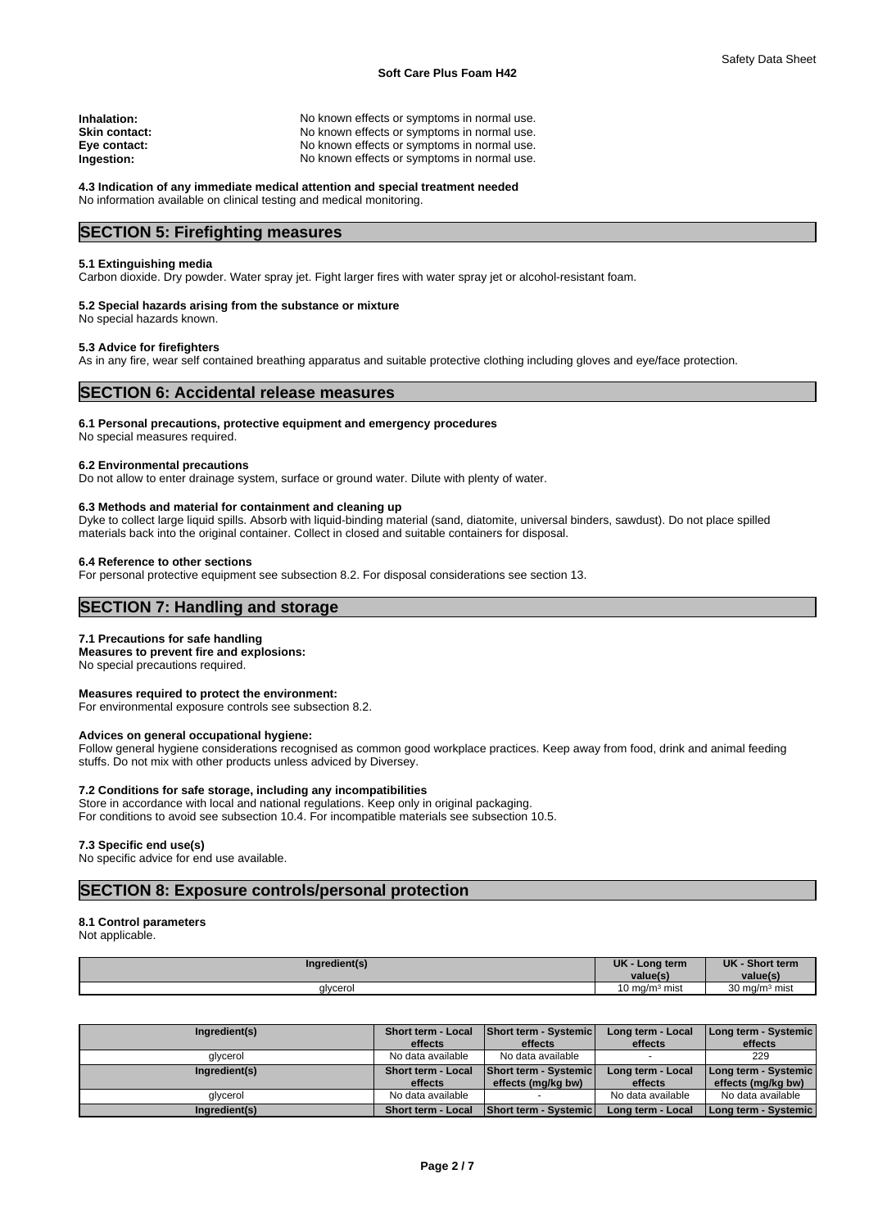| Inhalation:   | No known effects or symptoms in normal use. |
|---------------|---------------------------------------------|
| Skin contact: | No known effects or symptoms in normal use. |
| Eye contact:  | No known effects or symptoms in normal use. |
| Ingestion:    | No known effects or symptoms in normal use. |
|               |                                             |

**4.3 Indication of any immediate medical attention and special treatment needed** No information available on clinical testing and medical monitoring.

## **SECTION 5: Firefighting measures**

#### **5.1 Extinguishing media**

Carbon dioxide. Dry powder. Water spray jet. Fight larger fires with water spray jet or alcohol-resistant foam.

#### **5.2 Special hazards arising from the substance or mixture**

No special hazards known.

#### **5.3 Advice for firefighters**

As in any fire, wear self contained breathing apparatus and suitable protective clothing including gloves and eye/face protection.

## **SECTION 6: Accidental release measures**

#### **6.1 Personal precautions, protective equipment and emergency procedures**

No special measures required.

#### **6.2 Environmental precautions**

Do not allow to enter drainage system, surface or ground water. Dilute with plenty of water.

#### **6.3 Methods and material for containment and cleaning up**

Dyke to collect large liquid spills. Absorb with liquid-binding material (sand, diatomite, universal binders, sawdust). Do not place spilled materials back into the original container. Collect in closed and suitable containers for disposal.

#### **6.4 Reference to other sections**

For personal protective equipment see subsection 8.2. For disposal considerations see section 13.

## **SECTION 7: Handling and storage**

#### **7.1 Precautions for safe handling**

**Measures to prevent fire and explosions:**

No special precautions required.

## **Measures required to protect the environment:**

For environmental exposure controls see subsection 8.2.

#### **Advices on general occupational hygiene:**

Follow general hygiene considerations recognised as common good workplace practices. Keep away from food, drink and animal feeding stuffs. Do not mix with other products unless adviced by Diversey.

### **7.2 Conditions for safe storage, including any incompatibilities**

Store in accordance with local and national regulations. Keep only in original packaging.

For conditions to avoid see subsection 10.4. For incompatible materials see subsection 10.5.

#### **7.3 Specific end use(s)**

No specific advice for end use available.

## **SECTION 8: Exposure controls/personal protection**

### **8.1 Control parameters**

Not applicable.

| Ingredient(s) | <b>UK</b><br>term<br>$\mathsf{con}$<br>value(s | UK<br>Shor<br>ort term<br>value(s) |
|---------------|------------------------------------------------|------------------------------------|
| glycerol      | 10 mg/m $3$ mist                               | 30 mg/m $3$ mist                   |

| Ingredient(s) | <b>Short term - Local</b><br>effects | Short term - Systemic<br>effects                   | Long term - Local<br>effects | Long term - Systemic<br>effects            |
|---------------|--------------------------------------|----------------------------------------------------|------------------------------|--------------------------------------------|
| qlycerol      | No data available                    | No data available                                  |                              | 229                                        |
| Ingredient(s) | <b>Short term - Local</b><br>effects | <b>Short term - Systemic</b><br>effects (mg/kg bw) | Long term - Local<br>effects | Long term - Systemic<br>effects (mg/kg bw) |
| qlycerol      | No data available                    |                                                    | No data available            | No data available                          |
| Ingredient(s) | Short term - Local                   | <b>Short term - Systemic</b>                       | Long term - Local            | Long term - Systemic                       |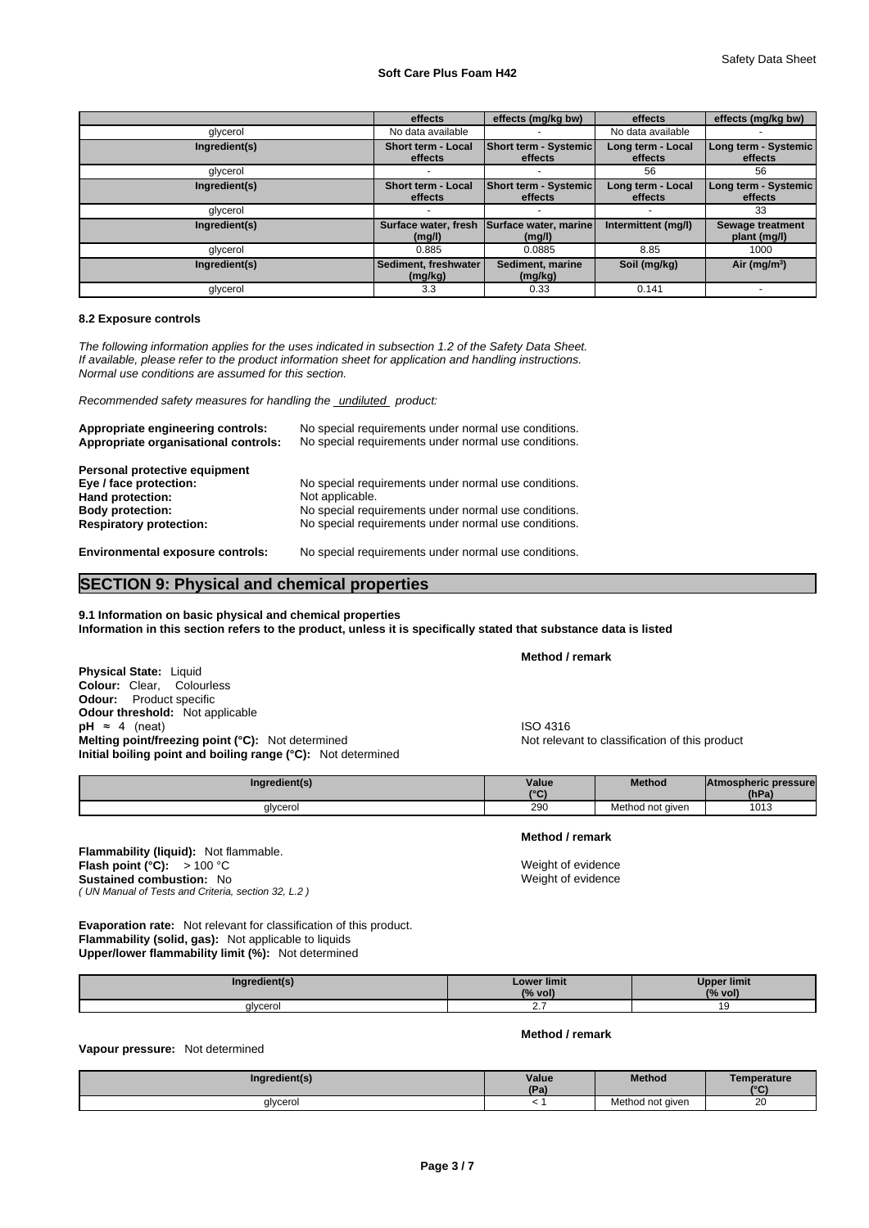### **Soft Care Plus Foam H42**

|               | effects                         | effects (mg/kg bw)                      | effects                      | effects (mg/kg bw)               |
|---------------|---------------------------------|-----------------------------------------|------------------------------|----------------------------------|
| glycerol      | No data available               |                                         | No data available            |                                  |
| Ingredient(s) | Short term - Local<br>effects   | Short term - Systemic<br>effects        | Long term - Local<br>effects | Long term - Systemic<br>effects  |
| glycerol      |                                 |                                         | 56                           | 56                               |
| Ingredient(s) | Short term - Local<br>effects   | <b>Short term - Systemic</b><br>effects | Long term - Local<br>effects | Long term - Systemic<br>effects  |
| glycerol      |                                 |                                         |                              | 33                               |
| Ingredient(s) | Surface water, fresh<br>(mg/l)  | <b>Surface water, marine</b><br>(mg/l)  | Intermittent (mg/l)          | Sewage treatment<br>plant (mg/l) |
| glycerol      | 0.885                           | 0.0885                                  | 8.85                         | 1000                             |
| Ingredient(s) | Sediment, freshwater<br>(mg/kg) | Sediment, marine<br>(mg/kg)             | Soil (mg/kg)                 | Air ( $mg/m3$ )                  |
| glycerol      | 3.3                             | 0.33                                    | 0.141                        |                                  |

#### **8.2 Exposure controls**

*The following information applies for the uses indicated in subsection 1.2 of the Safety Data Sheet. If available, please refer to the product information sheet for application and handling instructions. Normal use conditions are assumed for this section.*

*Recommended safety measures for handling the undiluted product:*

| Appropriate engineering controls:<br>Appropriate organisational controls:                                                                | No special requirements under normal use conditions.<br>No special requirements under normal use conditions.                                                                            |
|------------------------------------------------------------------------------------------------------------------------------------------|-----------------------------------------------------------------------------------------------------------------------------------------------------------------------------------------|
| Personal protective equipment<br>Eye / face protection:<br>Hand protection:<br><b>Body protection:</b><br><b>Respiratory protection:</b> | No special requirements under normal use conditions.<br>Not applicable.<br>No special requirements under normal use conditions.<br>No special requirements under normal use conditions. |
| <b>Environmental exposure controls:</b>                                                                                                  | No special requirements under normal use conditions.                                                                                                                                    |

## **SECTION 9: Physical and chemical properties**

**9.1 Information on basic physical and chemical properties Information in this section refers to the product, unless it is specifically stated that substance data is listed** 

**Physical State:** Liquid **Colour:** Clear, Colourless **Odour:** Product specific **Odour threshold:** Not applicable **pH** ≈ 4 (neat)<br> **Melting point/freezing point (°C):** Not determined<br> **Melting point/freezing point (°C):** Not determined<br> **Melting point/freezing point (°C):** Not determined **Melting point/freezing point (°C):** Not determined **Initial boiling point and boiling range (°C):** Not determined

**Ingredient(s)** Value  $(°C)$ <sup>290</sup> **Method Atmospheric pressure (hPa)**  glycerol 290 Method not given

**Flammability (liquid):** Not flammable. *( UN Manual of Tests and Criteria, section 32, L.2 )*  **Flash point (°C):** > 100 °C Weight of evidence **Sustained combustion:** No **Weight of evidence** 

**Evaporation rate:** Not relevant for classification of this product. **Flammability (solid, gas):** Not applicable to liquids **Upper/lower flammability limit (%):** Not determined

| Ingredient(s) | <b>Lower limit</b><br>(% vol) | Upper limit<br>(% vol) |
|---------------|-------------------------------|------------------------|
| glycerol      | <u>.</u>                      | v                      |

#### **Method / remark**

## **Vapour pressure:** Not determined

| redient(s)<br>Inar | Value<br>ID <sub>n</sub><br>. ar | <b>Method</b> | <b>Temperature</b><br>$10^{\circ}$ |
|--------------------|----------------------------------|---------------|------------------------------------|
| ahicora            |                                  | l not aiven   | oc                                 |
| /ceroi             |                                  | Meth          | ∠∪                                 |

**Method / remark** 

**Method / remark**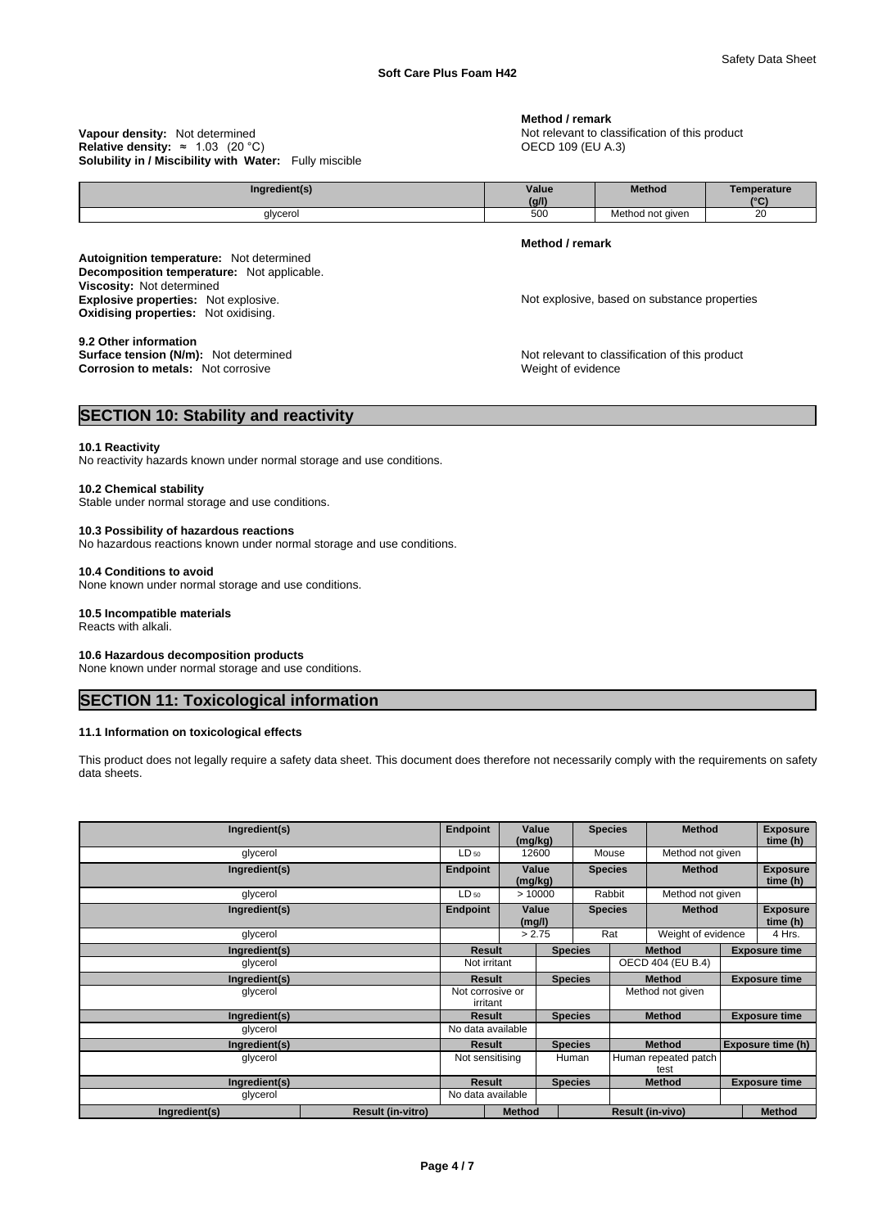#### **Solubility in / Miscibility with Water:** Fully miscible **Vapour density:** Not determined **Notify and ST 2018** Not relevant to classification of this product **Relative density:** ≈ 1.03 (20 °C) **CECD** 109 (EU A.3)

#### **Method / remark**

| Inaredient(s) | Value<br>(g/l) | Method              | Temperature<br>$10^{\circ}$<br>ັ |
|---------------|----------------|---------------------|----------------------------------|
| glycerol      | 500            | Method<br>not given | $\sim$<br>∠∪                     |

**Decomposition temperature:** Not applicable. **Autoignition temperature:** Not determined **Viscosity:** Not determined<br> **Explosive properties:** Not explosive. **Oxidising properties:** Not oxidising.

### **9.2 Other information**

**Corrosion to metals:** Not corrosive

**Method / remark** 

Not explosive, based on substance properties

**Surface tension (N/m):** Not determined **Notify 19 and 19 and 19 and 19 and 19 and 19 and 19 and 19 and 19 and 19 and 19 and 19 and 19 and 19 and 19 and 19 and 19 and 19 and 19 and 19 and 19 and 19 and 19 and 19 and 19 and** 

## **SECTION 10: Stability and reactivity**

#### **10.1 Reactivity**

No reactivity hazards known under normal storage and use conditions.

#### **10.2 Chemical stability**

Stable under normal storage and use conditions.

## **10.3 Possibility of hazardous reactions**

No hazardous reactions known under normal storage and use conditions.

#### **10.4 Conditions to avoid**

None known under normal storage and use conditions.

### **10.5 Incompatible materials**

Reacts with alkali.

### **10.6 Hazardous decomposition products**

None known under normal storage and use conditions.

## **SECTION 11: Toxicological information**

#### **11.1 Information on toxicological effects**

This product does not legally require a safety data sheet. This document does therefore not necessarily comply with the requirements on safety data sheets.

| Ingredient(s) |                          |                 | Endpoint<br>(mg/kg)          | Value                             |                | <b>Species</b><br><b>Method</b> |                              |                   | <b>Exposure</b><br>time (h) |  |        |  |                             |
|---------------|--------------------------|-----------------|------------------------------|-----------------------------------|----------------|---------------------------------|------------------------------|-------------------|-----------------------------|--|--------|--|-----------------------------|
| glycerol      |                          | $LD_{50}$       |                              | 12600                             |                | Mouse                           |                              | Method not given  |                             |  |        |  |                             |
| Ingredient(s) |                          | <b>Endpoint</b> | (mg/kg)                      | Value<br><b>Species</b>           |                |                                 |                              | <b>Method</b>     |                             |  |        |  |                             |
| glycerol      |                          | $LD_{50}$       |                              | >10000                            |                | Rabbit                          | Method not given             |                   |                             |  |        |  |                             |
| Ingredient(s) |                          | <b>Endpoint</b> |                              | <b>Species</b><br>Value<br>(mg/l) |                | <b>Method</b>                   |                              |                   |                             |  |        |  | <b>Exposure</b><br>time (h) |
| glycerol      |                          |                 |                              | > 2.75                            |                | Rat                             | Weight of evidence           |                   |                             |  | 4 Hrs. |  |                             |
| Ingredient(s) |                          |                 | <b>Result</b>                |                                   | <b>Species</b> |                                 | <b>Method</b>                |                   | <b>Exposure time</b>        |  |        |  |                             |
| glycerol      |                          |                 | Not irritant                 |                                   |                |                                 | OECD 404 (EU B.4)            |                   |                             |  |        |  |                             |
| Ingredient(s) |                          |                 | <b>Result</b>                |                                   | <b>Species</b> |                                 | <b>Method</b>                |                   | <b>Exposure time</b>        |  |        |  |                             |
| glycerol      |                          |                 | Not corrosive or<br>irritant |                                   |                |                                 | Method not given             |                   |                             |  |        |  |                             |
| Ingredient(s) |                          |                 | <b>Result</b>                |                                   | <b>Species</b> |                                 | <b>Method</b>                |                   | <b>Exposure time</b>        |  |        |  |                             |
| glycerol      |                          |                 | No data available            |                                   |                |                                 |                              |                   |                             |  |        |  |                             |
| Ingredient(s) |                          |                 | Result                       |                                   | <b>Species</b> | <b>Method</b>                   |                              | Exposure time (h) |                             |  |        |  |                             |
| glycerol      |                          |                 | Not sensitising              |                                   | Human          |                                 | Human repeated patch<br>test |                   |                             |  |        |  |                             |
| Ingredient(s) |                          |                 | <b>Result</b>                | <b>Species</b>                    |                |                                 | <b>Method</b>                |                   | <b>Exposure time</b>        |  |        |  |                             |
| glycerol      |                          |                 | No data available            |                                   |                |                                 |                              |                   |                             |  |        |  |                             |
| Ingredient(s) | <b>Result (in-vitro)</b> |                 | <b>Method</b>                |                                   |                |                                 | <b>Result (in-vivo)</b>      |                   | <b>Method</b>               |  |        |  |                             |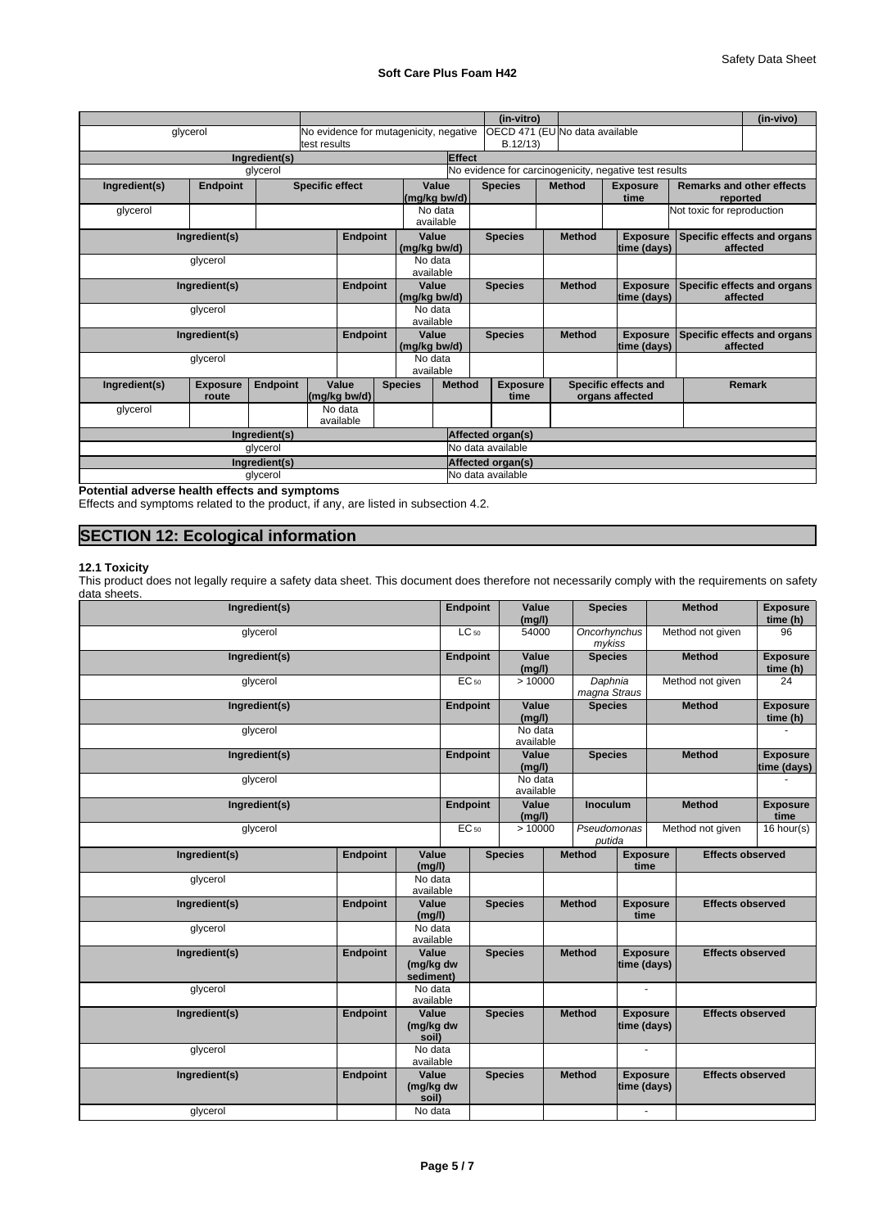## **Soft Care Plus Foam H42**

|               |                          |               |                        |              |                                        |                       |                   | (in-vitro)              |                                |                                                        |                                              | (in-vivo)                               |
|---------------|--------------------------|---------------|------------------------|--------------|----------------------------------------|-----------------------|-------------------|-------------------------|--------------------------------|--------------------------------------------------------|----------------------------------------------|-----------------------------------------|
|               | glycerol                 |               | ltest results          |              | No evidence for mutagenicity, negative |                       |                   | B.12/13                 | OECD 471 (EU No data available |                                                        |                                              |                                         |
|               |                          | Ingredient(s) |                        |              |                                        | Effect                |                   |                         |                                |                                                        |                                              |                                         |
|               |                          | glycerol      |                        |              |                                        |                       |                   |                         |                                | No evidence for carcinogenicity, negative test results |                                              |                                         |
| Ingredient(s) | <b>Endpoint</b>          |               | <b>Specific effect</b> |              |                                        | Value<br>(mg/kg bw/d) | <b>Species</b>    |                         | <b>Method</b>                  | <b>Exposure</b><br>time                                | <b>Remarks and other effects</b><br>reported |                                         |
| glycerol      |                          |               |                        |              |                                        | No data<br>available  |                   |                         |                                |                                                        | Not toxic for reproduction                   |                                         |
| Ingredient(s) |                          |               |                        | Endpoint     | (mg/kg bw/d)                           | Value                 | <b>Species</b>    |                         | <b>Method</b>                  | <b>Exposure</b><br>time (days)                         |                                              | Specific effects and organs<br>affected |
|               | glycerol                 |               |                        |              |                                        | No data<br>available  |                   |                         |                                |                                                        |                                              |                                         |
| Ingredient(s) |                          |               | <b>Endpoint</b>        | (mg/kg bw/d) | Value                                  | <b>Species</b>        |                   | <b>Method</b>           | <b>Exposure</b><br>time (days) |                                                        | Specific effects and organs<br>affected      |                                         |
| glycerol      |                          |               |                        |              |                                        | No data<br>available  |                   |                         |                                |                                                        |                                              |                                         |
|               | Ingredient(s)            |               |                        | Endpoint     | (mg/kg bw/d)                           | Value                 | <b>Species</b>    |                         | <b>Method</b>                  | <b>Exposure</b><br>time (days)                         |                                              | Specific effects and organs<br>affected |
|               | glycerol                 |               |                        |              |                                        | No data<br>available  |                   |                         |                                |                                                        |                                              |                                         |
| Ingredient(s) | <b>Exposure</b><br>route | Endpoint      | Value<br>(mg/kg bw/d)  |              | <b>Species</b>                         | <b>Method</b>         |                   | <b>Exposure</b><br>time |                                | Specific effects and<br>organs affected                |                                              | <b>Remark</b>                           |
| glycerol      |                          |               | No data<br>available   |              |                                        |                       |                   |                         |                                |                                                        |                                              |                                         |
| Ingredient(s) |                          |               |                        |              |                                        |                       | Affected organ(s) |                         |                                |                                                        |                                              |                                         |
|               |                          | glycerol      |                        |              |                                        |                       | No data available |                         |                                |                                                        |                                              |                                         |
|               |                          | Ingredient(s) |                        |              |                                        |                       | Affected organ(s) |                         |                                |                                                        |                                              |                                         |
|               |                          | glycerol      |                        |              |                                        |                       | No data available |                         |                                |                                                        |                                              |                                         |

**Potential adverse health effects and symptoms**

Effects and symptoms related to the product, if any, are listed in subsection 4.2.

## **SECTION 12: Ecological information**

## **12.1 Toxicity**

This product does not legally require a safety data sheet. This document does therefore not necessarily comply with the requirements on safety data sheets.

| aana omoono.<br>Ingredient(s) |                 |                                 | <b>Endpoint</b> |           | Value<br>(mg/l)      | <b>Species</b>                           |                                | <b>Method</b>           | <b>Exposure</b><br>time (h)    |
|-------------------------------|-----------------|---------------------------------|-----------------|-----------|----------------------|------------------------------------------|--------------------------------|-------------------------|--------------------------------|
| glycerol                      |                 |                                 |                 | $LC_{50}$ | 54000                | Oncorhynchus<br>mykiss                   |                                | Method not given        | 96                             |
| Ingredient(s)                 |                 |                                 | <b>Endpoint</b> |           | Value<br>(mg/l)      | <b>Species</b>                           |                                | <b>Method</b>           | <b>Exposure</b><br>time (h)    |
| glycerol                      |                 |                                 | EC 50           |           | >10000               | Daphnia<br>magna Straus                  |                                | Method not given        | $\overline{24}$                |
| Ingredient(s)                 |                 |                                 | <b>Endpoint</b> |           | Value<br>(mg/l)      | <b>Species</b>                           |                                | <b>Method</b>           | <b>Exposure</b><br>time (h)    |
| glycerol                      |                 |                                 |                 |           | No data<br>available |                                          |                                |                         | $\sim$                         |
| Ingredient(s)                 |                 |                                 | <b>Endpoint</b> |           | Value<br>(mg/l)      | <b>Species</b>                           |                                | <b>Method</b>           | <b>Exposure</b><br>time (days) |
| glycerol                      |                 |                                 |                 |           | No data<br>available |                                          |                                |                         | $\overline{\phantom{a}}$       |
| Ingredient(s)                 |                 |                                 | <b>Endpoint</b> |           | Value<br>(mg/l)      | <b>Inoculum</b>                          |                                | <b>Method</b>           | <b>Exposure</b><br>time        |
| glycerol                      |                 |                                 |                 | EC 50     | >10000               | Pseudomonas<br>putida                    |                                | Method not given        | $16$ hour(s)                   |
| Ingredient(s)                 | <b>Endpoint</b> | Value<br>(mg/l)                 |                 |           | <b>Species</b>       | <b>Method</b><br><b>Exposure</b><br>time |                                | <b>Effects observed</b> |                                |
| glycerol                      |                 | No data<br>available            |                 |           |                      |                                          |                                |                         |                                |
| Ingredient(s)                 | <b>Endpoint</b> | Value<br>(mg/l)                 |                 |           | <b>Species</b>       | <b>Method</b>                            | <b>Exposure</b><br>time        | <b>Effects observed</b> |                                |
| glycerol                      |                 | No data<br>available            |                 |           |                      |                                          |                                |                         |                                |
| Ingredient(s)                 | <b>Endpoint</b> | Value<br>(mg/kg dw<br>sediment) |                 |           | <b>Species</b>       | <b>Method</b>                            | <b>Exposure</b><br>time (days) | <b>Effects observed</b> |                                |
| glycerol                      |                 | No data<br>available            |                 |           |                      |                                          | $\sim$                         |                         |                                |
| Ingredient(s)                 | <b>Endpoint</b> | Value<br>(mg/kg dw<br>soil)     |                 |           | <b>Species</b>       | <b>Method</b>                            | <b>Exposure</b><br>time (days) | <b>Effects observed</b> |                                |
| glycerol                      |                 | No data<br>available            |                 |           |                      |                                          |                                |                         |                                |
| Ingredient(s)                 | <b>Endpoint</b> | Value<br>(mg/kg dw<br>soil)     |                 |           | <b>Species</b>       | <b>Method</b>                            | <b>Exposure</b><br>time (days) | <b>Effects observed</b> |                                |
| glycerol                      |                 | No data                         |                 |           |                      |                                          | $\sim$                         |                         |                                |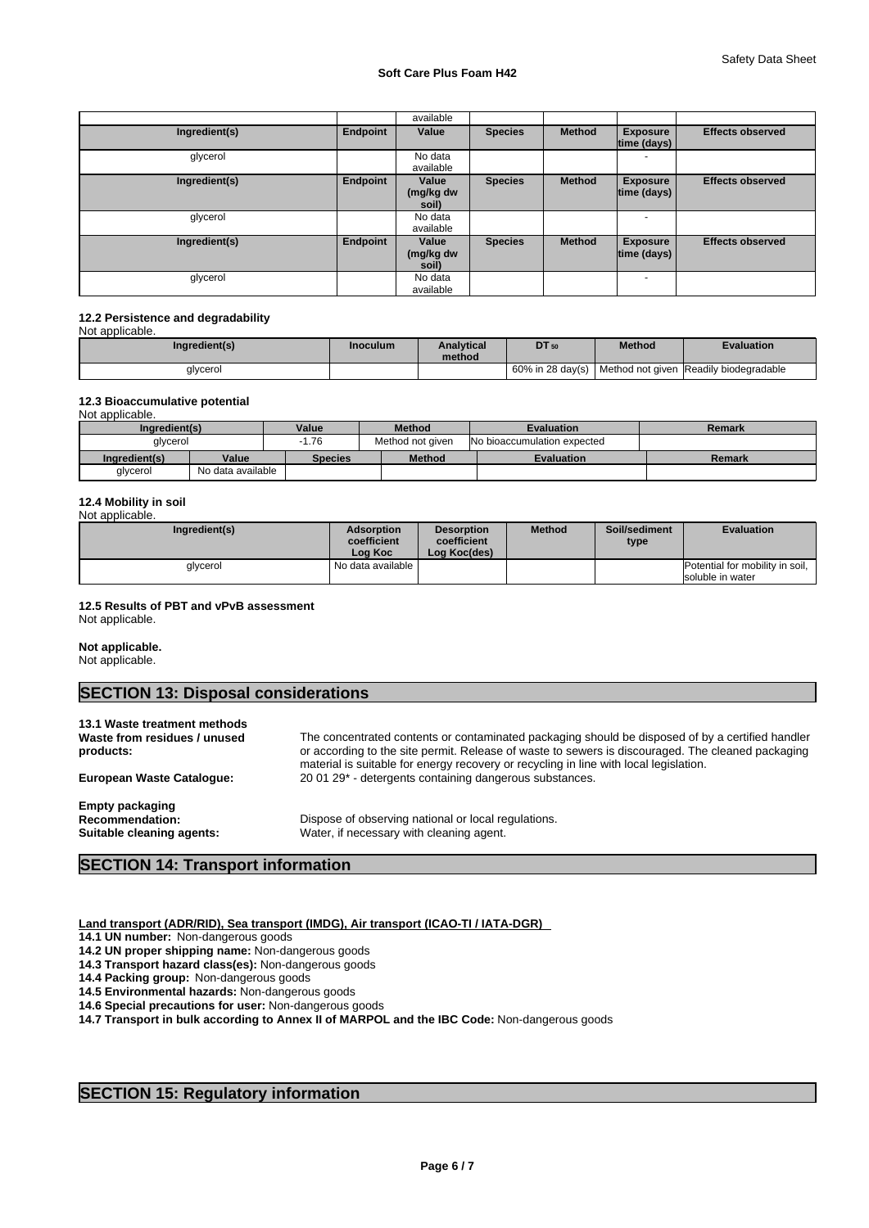|               |                 | available                   |                |               |                                |                         |
|---------------|-----------------|-----------------------------|----------------|---------------|--------------------------------|-------------------------|
| Ingredient(s) | Endpoint        | Value                       | <b>Species</b> | <b>Method</b> | <b>Exposure</b><br>time (days) | <b>Effects observed</b> |
| glycerol      |                 | No data<br>available        |                |               |                                |                         |
| Ingredient(s) | <b>Endpoint</b> | Value<br>(mg/kg dw<br>soil) | <b>Species</b> | <b>Method</b> | <b>Exposure</b><br>time (days) | <b>Effects observed</b> |
| glycerol      |                 | No data<br>available        |                |               | ٠                              |                         |
| Ingredient(s) | Endpoint        | Value<br>(mg/kg dw<br>soil) | <b>Species</b> | <b>Method</b> | <b>Exposure</b><br>time (days) | <b>Effects observed</b> |
| glycerol      |                 | No data<br>available        |                |               | $\overline{a}$                 |                         |

#### **12.2 Persistence and degradability**  Not applicable.

| ingredient(s) | Inoculum | <b>Analytical</b><br>method | <b>DT</b> 50 | <b>Method</b> | Evaluation                                                  |
|---------------|----------|-----------------------------|--------------|---------------|-------------------------------------------------------------|
| qlycerol      |          |                             |              |               | 60% in 28 day(s)   Method not given   Readily biodegradable |

### **12.3 Bioaccumulative potential**

Not applicable.

| Ingredient(s) |                   | Value   | <b>Method</b>    | <b>Evaluation</b>                  | Remark |
|---------------|-------------------|---------|------------------|------------------------------------|--------|
| alvcerol      |                   | .76     | Method not given | <b>No bioaccumulation expected</b> |        |
| Ingredient(s) | Value             | Species | <b>Method</b>    | <b>Evaluation</b>                  | Remark |
| glycerol      | No data available |         |                  |                                    |        |

## **12.4 Mobility in soil**

| Not applicable. |
|-----------------|

| Ingredient(s) | <b>Adsorption</b><br>coefficient<br>Loa Koc | <b>Desorption</b><br>coefficient<br>Log Koc(des) | <b>Method</b> | Soil/sediment<br>type | <b>Evaluation</b>                                   |
|---------------|---------------------------------------------|--------------------------------------------------|---------------|-----------------------|-----------------------------------------------------|
| qlycerol      | I No data available I                       |                                                  |               |                       | Potential for mobility in soil,<br>soluble in water |

## **12.5 Results of PBT and vPvB assessment**

Not applicable.

**Not applicable.**  Not applicable.

## **SECTION 13: Disposal considerations**

| 13.1 Waste treatment methods<br>Waste from residues / unused<br>products:     | The concentrated contents or contaminated packaging should be disposed of by a certified handler<br>or according to the site permit. Release of waste to sewers is discouraged. The cleaned packaging<br>material is suitable for energy recovery or recycling in line with local legislation. |
|-------------------------------------------------------------------------------|------------------------------------------------------------------------------------------------------------------------------------------------------------------------------------------------------------------------------------------------------------------------------------------------|
| <b>European Waste Catalogue:</b>                                              | 20 01 29* - detergents containing dangerous substances.                                                                                                                                                                                                                                        |
| <b>Empty packaging</b><br><b>Recommendation:</b><br>Suitable cleaning agents: | Dispose of observing national or local regulations.<br>Water, if necessary with cleaning agent.                                                                                                                                                                                                |

## **SECTION 14: Transport information**

**Land transport (ADR/RID), Sea transport (IMDG), Air transport (ICAO-TI / IATA-DGR)** 

**14.1 UN number:** Non-dangerous goods

**14.2 UN proper shipping name:** Non-dangerous goods

**14.3 Transport hazard class(es):** Non-dangerous goods

**14.4 Packing group:** Non-dangerous goods

**14.5 Environmental hazards:** Non-dangerous goods

**14.6 Special precautions for user:** Non-dangerous goods

**14.7 Transport in bulk according to Annex II of MARPOL and the IBC Code:** Non-dangerous goods

## **SECTION 15: Regulatory information**